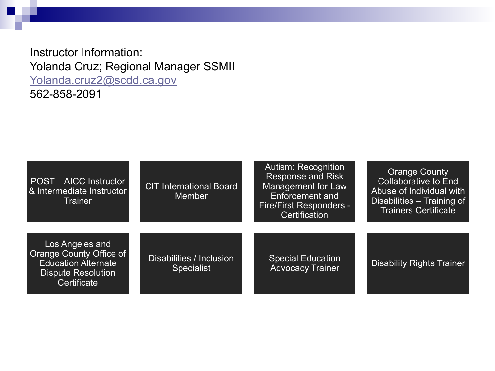Instructor Information: Yolanda Cruz; Regional Manager SSMII [Yolanda.cruz2@scdd.ca.gov](mailto:Yolanda.cruz2@scdd.ca.gov) 562-858-2091

| POST - AICC Instructor<br>& Intermediate Instructor<br>Trainer                                                       | <b>CIT International Board</b><br><b>Member</b> | Autism: Recognition<br><b>Response and Risk</b><br>Management for Law<br><b>Enforcement and</b><br>Fire/First Responders -<br>Certification | <b>Orange County</b><br><b>Collaborative to End</b><br>Abuse of Individual with<br>Disabilities - Training of<br><b>Trainers Certificate</b> |
|----------------------------------------------------------------------------------------------------------------------|-------------------------------------------------|---------------------------------------------------------------------------------------------------------------------------------------------|----------------------------------------------------------------------------------------------------------------------------------------------|
| Los Angeles and<br>Orange County Office of<br><b>Education Alternate</b><br><b>Dispute Resolution</b><br>Certificate | Disabilities / Inclusion<br><b>Specialist</b>   | <b>Special Education</b><br><b>Advocacy Trainer</b>                                                                                         | <b>Disability Rights Trainer</b>                                                                                                             |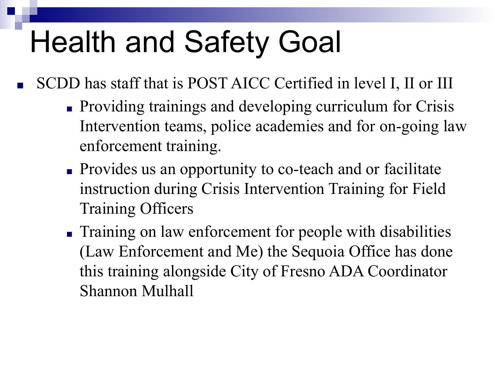# Health and Safety Goal

- SCDD has staff that is POST AICC Certified in level I, II or III
	- Providing trainings and developing curriculum for Crisis Intervention teams, police academies and for on-going law enforcement training.
	- Provides us an opportunity to co-teach and or facilitate instruction during Crisis Intervention Training for Field Training Officers
	- Training on law enforcement for people with disabilities (Law Enforcement and Me) the Sequoia Office has done this training alongside City of Fresno ADA Coordinator Shannon Mulhall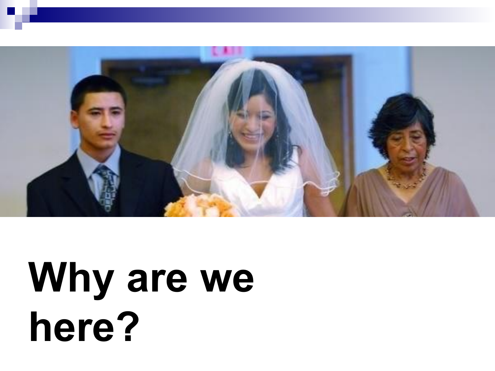

# **Why are we here?**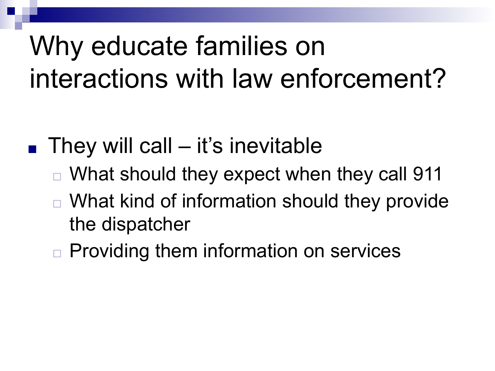### Why educate families on interactions with law enforcement?

- $\blacksquare$  They will call it's inevitable
	- ◻ What should they expect when they call 911
	- What kind of information should they provide the dispatcher
	- ◻ Providing them information on services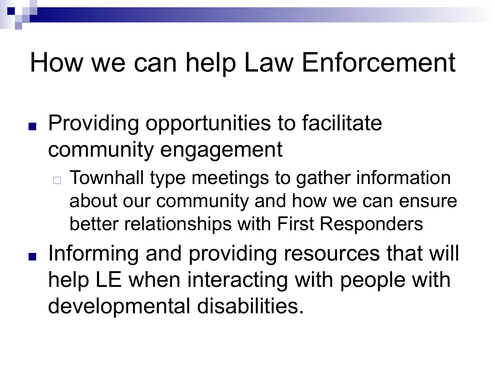### How we can help Law Enforcement

- Providing opportunities to facilitate community engagement
	- ◻ Townhall type meetings to gather information about our community and how we can ensure better relationships with First Responders
- Informing and providing resources that will help LE when interacting with people with developmental disabilities.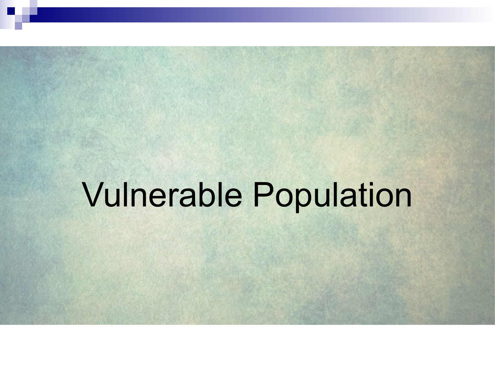# Vulnerable Population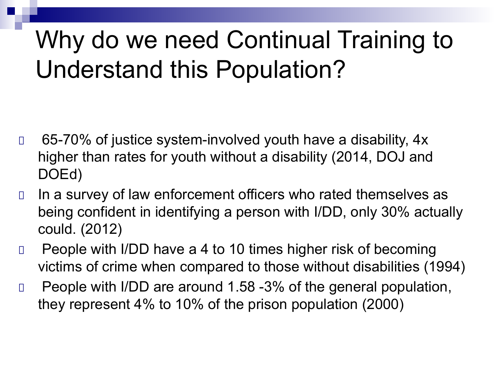### Why do we need Continual Training to Understand this Population?

- □ 65-70% of justice system-involved youth have a disability, 4x higher than rates for youth without a disability (2014, DOJ and DOEd)
- □ In a survey of law enforcement officers who rated themselves as being confident in identifying a person with I/DD, only 30% actually could. (2012)
- □ People with I/DD have a 4 to 10 times higher risk of becoming victims of crime when compared to those without disabilities (1994)
- □ People with I/DD are around 1.58 -3% of the general population, they represent 4% to 10% of the prison population (2000)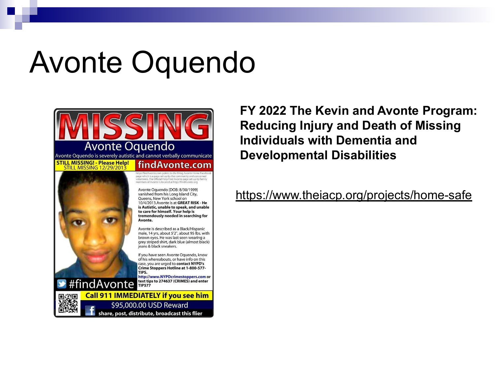### Avonte Oquendo



**FY 2022 The Kevin and Avonte Program: Reducing Injury and Death of Missing Individuals with Dementia and Developmental Disabilities** 

<https://www.theiacp.org/projects/home-safe>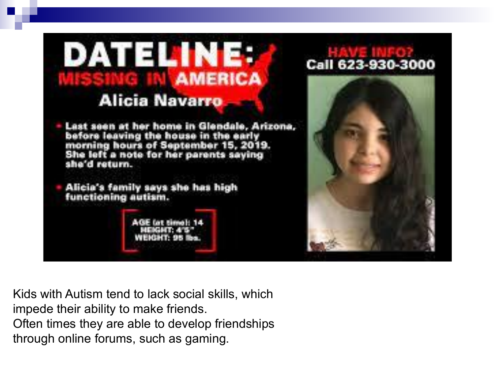

Kids with Autism tend to lack social skills, which impede their ability to make friends. Often times they are able to develop friendships through online forums, such as gaming.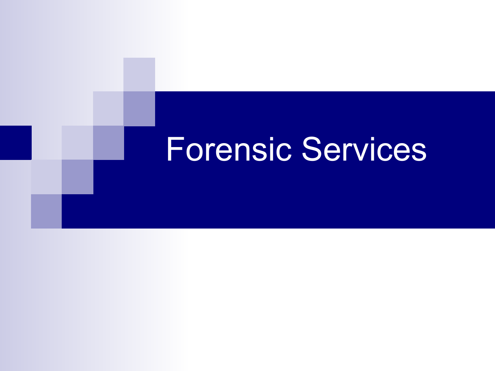## Forensic Services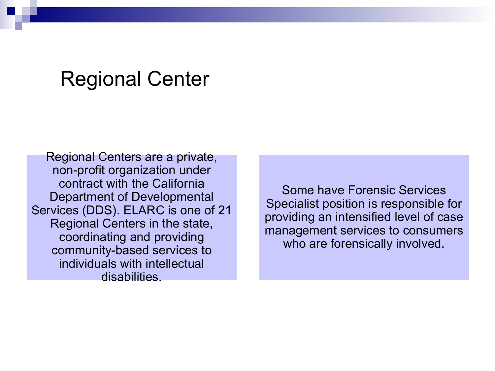#### Regional Center

Regional Centers are a private, non-profit organization under contract with the California Department of Developmental Services (DDS). ELARC is one of 21 Regional Centers in the state, coordinating and providing community-based services to individuals with intellectual disabilities.

Some have Forensic Services Specialist position is responsible for providing an intensified level of case management services to consumers who are forensically involved.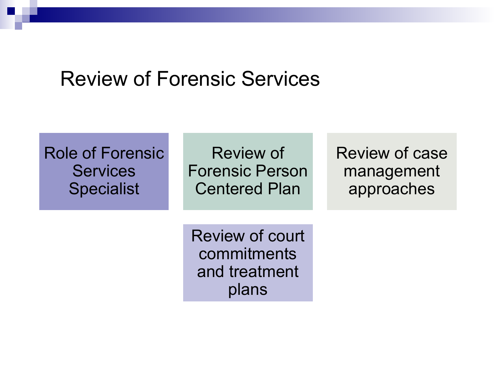#### Review of Forensic Services

#### Role of Forensic **Services** Specialist

Review of Forensic Person Centered Plan

Review of case management approaches

Review of court commitments and treatment plans